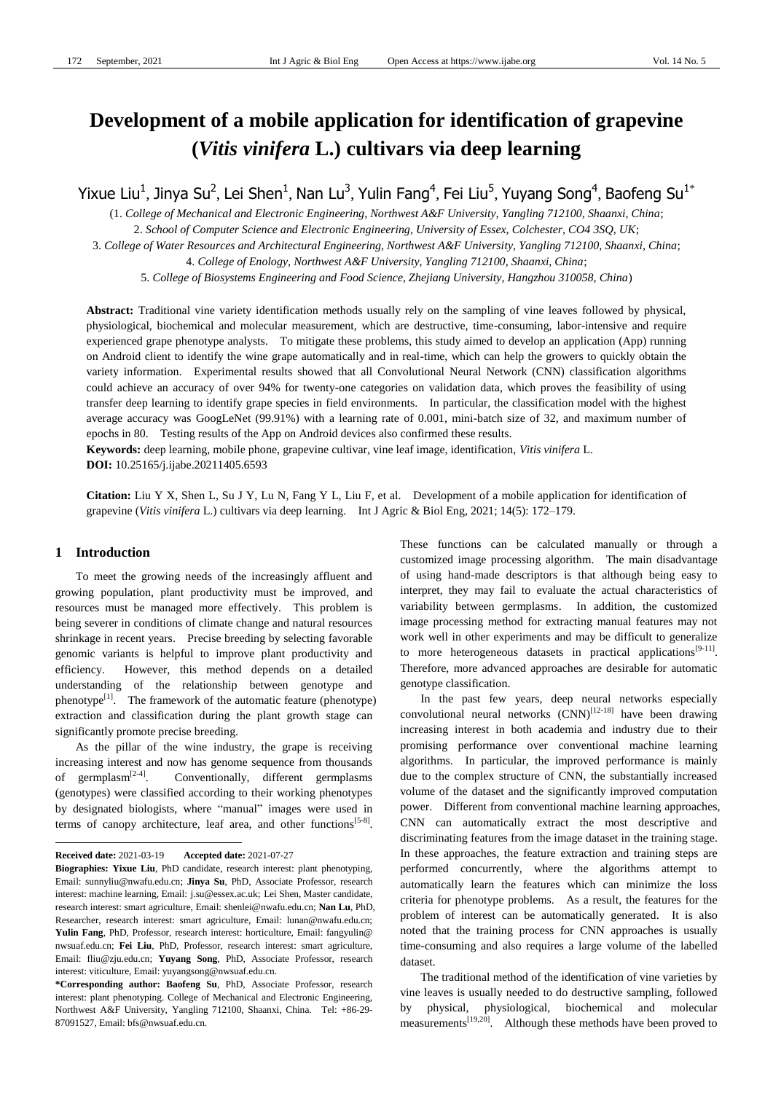# **Development of a mobile application for identification of grapevine (***Vitis vinifera* **L.) cultivars via deep learning**

Yixue Liu<sup>1</sup>, Jinya Su<sup>2</sup>, Lei Shen<sup>1</sup>, Nan Lu<sup>3</sup>, Yulin Fang<sup>4</sup>, Fei Liu<sup>5</sup>, Yuyang Song<sup>4</sup>, Baofeng Su<sup>1\*</sup>

(1. *College of Mechanical and Electronic Engineering, Northwest A&F University, Yangling 712100, Shaanxi, China*; 2. *School of Computer Science and Electronic Engineering, University of Essex, Colchester, CO4 3SQ, UK*;

3. *College of Water Resources and Architectural Engineering, Northwest A&F University, Yangling 712100, Shaanxi, China*;

4. *College of Enology, Northwest A&F University, Yangling 712100, Shaanxi, China*;

5. *College of Biosystems Engineering and Food Science, Zhejiang University, Hangzhou 310058, China*)

**Abstract:** Traditional vine variety identification methods usually rely on the sampling of vine leaves followed by physical, physiological, biochemical and molecular measurement, which are destructive, time-consuming, labor-intensive and require experienced grape phenotype analysts. To mitigate these problems, this study aimed to develop an application (App) running on Android client to identify the wine grape automatically and in real-time, which can help the growers to quickly obtain the variety information. Experimental results showed that all Convolutional Neural Network (CNN) classification algorithms could achieve an accuracy of over 94% for twenty-one categories on validation data, which proves the feasibility of using transfer deep learning to identify grape species in field environments. In particular, the classification model with the highest average accuracy was GoogLeNet (99.91%) with a learning rate of 0.001, mini-batch size of 32, and maximum number of epochs in 80. Testing results of the App on Android devices also confirmed these results.

**Keywords:** deep learning, mobile phone, grapevine cultivar, vine leaf image, identification, *Vitis vinifera* L.

**DOI:** 10.25165/j.ijabe.20211405.6593

**Citation:** Liu Y X, Shen L, Su J Y, Lu N, Fang Y L, Liu F, et al. Development of a mobile application for identification of grapevine (*Vitis vinifera* L.) cultivars via deep learning. Int J Agric & Biol Eng, 2021; 14(5): 172–179.

## **1 Introduction**

 $\overline{a}$ 

To meet the growing needs of the increasingly affluent and growing population, plant productivity must be improved, and resources must be managed more effectively. This problem is being severer in conditions of climate change and natural resources shrinkage in recent years. Precise breeding by selecting favorable genomic variants is helpful to improve plant productivity and efficiency. However, this method depends on a detailed understanding of the relationship between genotype and phenotype<sup>[1]</sup>. The framework of the automatic feature (phenotype) extraction and classification during the plant growth stage can significantly promote precise breeding.

As the pillar of the wine industry, the grape is receiving increasing interest and now has genome sequence from thousands of germplasm $^{[2-4]}$ . . Conventionally, different germplasms (genotypes) were classified according to their working phenotypes by designated biologists, where "manual" images were used in terms of canopy architecture, leaf area, and other functions<sup>[5-8]</sup>. These functions can be calculated manually or through a customized image processing algorithm. The main disadvantage of using hand-made descriptors is that although being easy to interpret, they may fail to evaluate the actual characteristics of variability between germplasms. In addition, the customized image processing method for extracting manual features may not work well in other experiments and may be difficult to generalize to more heterogeneous datasets in practical applications<sup>[9-11]</sup>. Therefore, more advanced approaches are desirable for automatic genotype classification.

In the past few years, deep neural networks especially convolutional neural networks  $(CNN)^{[12-18]}$  have been drawing increasing interest in both academia and industry due to their promising performance over conventional machine learning algorithms. In particular, the improved performance is mainly due to the complex structure of CNN, the substantially increased volume of the dataset and the significantly improved computation power. Different from conventional machine learning approaches, CNN can automatically extract the most descriptive and discriminating features from the image dataset in the training stage. In these approaches, the feature extraction and training steps are performed concurrently, where the algorithms attempt to automatically learn the features which can minimize the loss criteria for phenotype problems. As a result, the features for the problem of interest can be automatically generated. It is also noted that the training process for CNN approaches is usually time-consuming and also requires a large volume of the labelled dataset.

The traditional method of the identification of vine varieties by vine leaves is usually needed to do destructive sampling, followed by physical, physiological, biochemical and molecular measurements<sup>[19,20]</sup>. Although these methods have been proved to

**Received date:** 2021-03-19 **Accepted date:** 2021-07-27

**Biographies: Yixue Liu**, PhD candidate, research interest: plant phenotyping, Email: sunnyliu@nwafu.edu.cn; **Jinya Su**, PhD, Associate Professor, research interest: machine learning, Email: j.su@essex.ac.uk; Lei Shen, Master candidate, research interest: smart agriculture, Email: shenlei@nwafu.edu.cn; **Nan Lu**, PhD, Researcher, research interest: smart agriculture, Email: lunan@nwafu.edu.cn; **Yulin Fang**, PhD, Professor, research interest: horticulture, Email: fangyulin@ nwsuaf.edu.cn; **Fei Liu**, PhD, Professor, research interest: smart agriculture, Email: fliu@zju.edu.cn; **Yuyang Song**, PhD, Associate Professor, research interest: viticulture, Email: yuyangsong@nwsuaf.edu.cn.

**<sup>\*</sup>Corresponding author: Baofeng Su**, PhD, Associate Professor, research interest: plant phenotyping. College of Mechanical and Electronic Engineering, Northwest A&F University, Yangling 712100, Shaanxi, China. Tel: +86-29- 87091527, Email: bfs@nwsuaf.edu.cn.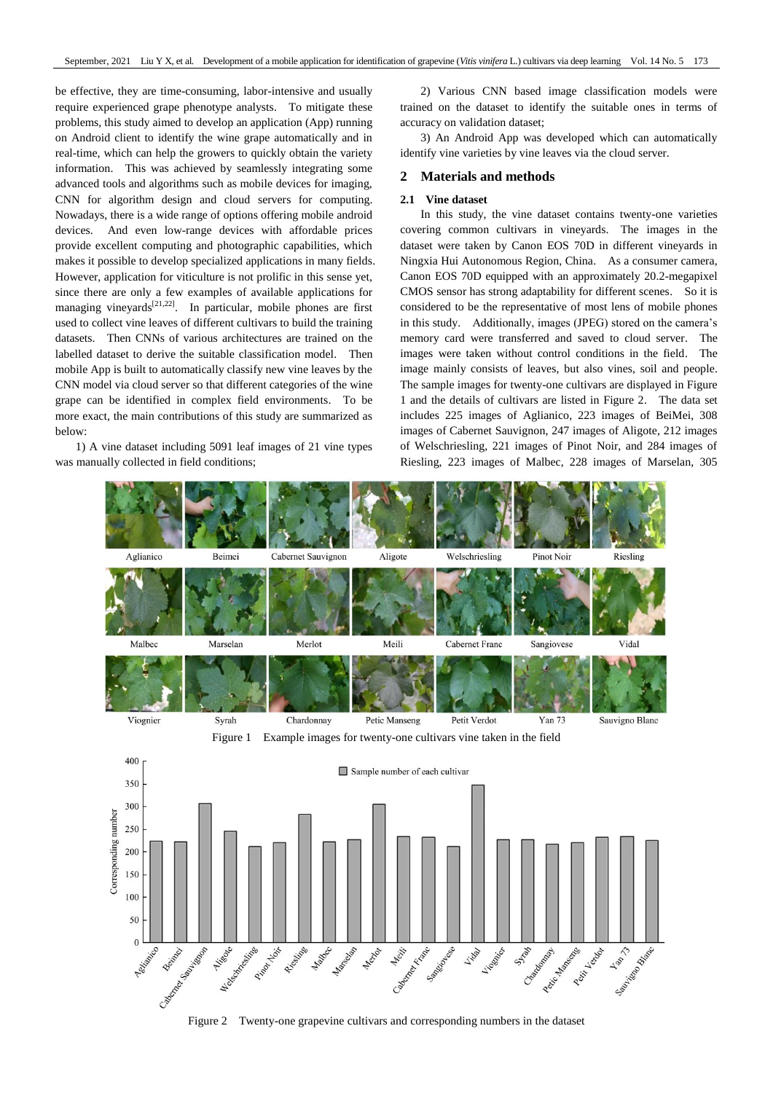be effective, they are time-consuming, labor-intensive and usually require experienced grape phenotype analysts. To mitigate these problems, this study aimed to develop an application (App) running on Android client to identify the wine grape automatically and in real-time, which can help the growers to quickly obtain the variety information. This was achieved by seamlessly integrating some advanced tools and algorithms such as mobile devices for imaging, CNN for algorithm design and cloud servers for computing. Nowadays, there is a wide range of options offering mobile android devices. And even low-range devices with affordable prices provide excellent computing and photographic capabilities, which makes it possible to develop specialized applications in many fields. However, application for viticulture is not prolific in this sense yet, since there are only a few examples of available applications for managing vineyards<sup>[21,22]</sup>. In particular, mobile phones are first used to collect vine leaves of different cultivars to build the training datasets. Then CNNs of various architectures are trained on the labelled dataset to derive the suitable classification model. Then mobile App is built to automatically classify new vine leaves by the CNN model via cloud server so that different categories of the wine grape can be identified in complex field environments. To be more exact, the main contributions of this study are summarized as below:

1) A vine dataset including 5091 leaf images of 21 vine types was manually collected in field conditions;

2) Various CNN based image classification models were trained on the dataset to identify the suitable ones in terms of accuracy on validation dataset;

3) An Android App was developed which can automatically identify vine varieties by vine leaves via the cloud server.

#### **2 Materials and methods**

#### **2.1 Vine dataset**

In this study, the vine dataset contains twenty-one varieties covering common cultivars in vineyards. The images in the dataset were taken by Canon EOS 70D in different vineyards in Ningxia Hui Autonomous Region, China. As a consumer camera, Canon EOS 70D equipped with an approximately 20.2-megapixel CMOS sensor has strong adaptability for different scenes. So it is considered to be the representative of most lens of mobile phones in this study. Additionally, images (JPEG) stored on the camera's memory card were transferred and saved to cloud server. The images were taken without control conditions in the field. The image mainly consists of leaves, but also vines, soil and people. The sample images for twenty-one cultivars are displayed in Figure 1 and the details of cultivars are listed in Figure 2. The data set includes 225 images of Aglianico, 223 images of BeiMei, 308 images of Cabernet Sauvignon, 247 images of Aligote, 212 images of Welschriesling, 221 images of Pinot Noir, and 284 images of Riesling, 223 images of Malbec, 228 images of Marselan, 305

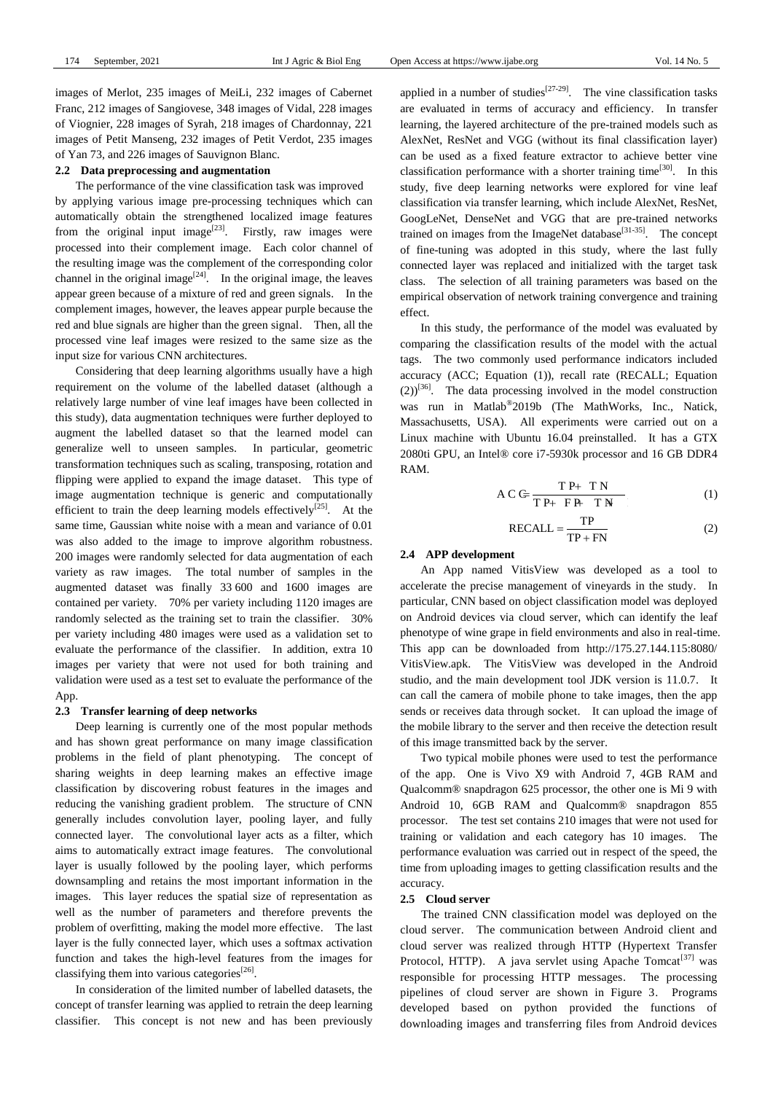images of Merlot, 235 images of MeiLi, 232 images of Cabernet Franc, 212 images of Sangiovese, 348 images of Vidal, 228 images of Viognier, 228 images of Syrah, 218 images of Chardonnay, 221 images of Petit Manseng, 232 images of Petit Verdot, 235 images of Yan 73, and 226 images of Sauvignon Blanc.

## **2.2 Data preprocessing and augmentation**

The performance of the vine classification task was improved by applying various image pre-processing techniques which can automatically obtain the strengthened localized image features from the original input image<sup>[23]</sup>. Firstly, raw images were processed into their complement image. Each color channel of the resulting image was the complement of the corresponding color channel in the original image<sup>[24]</sup>. In the original image, the leaves appear green because of a mixture of red and green signals. In the complement images, however, the leaves appear purple because the red and blue signals are higher than the green signal. Then, all the processed vine leaf images were resized to the same size as the input size for various CNN architectures.

Considering that deep learning algorithms usually have a high requirement on the volume of the labelled dataset (although a relatively large number of vine leaf images have been collected in this study), data augmentation techniques were further deployed to augment the labelled dataset so that the learned model can generalize well to unseen samples. In particular, geometric transformation techniques such as scaling, transposing, rotation and flipping were applied to expand the image dataset. This type of image augmentation technique is generic and computationally efficient to train the deep learning models effectively<sup>[25]</sup>. At the same time, Gaussian white noise with a mean and variance of 0.01 was also added to the image to improve algorithm robustness. 200 images were randomly selected for data augmentation of each variety as raw images. The total number of samples in the augmented dataset was finally 33 600 and 1600 images are contained per variety. 70% per variety including 1120 images are randomly selected as the training set to train the classifier. 30% per variety including 480 images were used as a validation set to evaluate the performance of the classifier. In addition, extra 10 images per variety that were not used for both training and validation were used as a test set to evaluate the performance of the App.

## **2.3 Transfer learning of deep networks**

Deep learning is currently one of the most popular methods and has shown great performance on many image classification problems in the field of plant phenotyping. The concept of sharing weights in deep learning makes an effective image classification by discovering robust features in the images and reducing the vanishing gradient problem. The structure of CNN generally includes convolution layer, pooling layer, and fully connected layer. The convolutional layer acts as a filter, which aims to automatically extract image features. The convolutional layer is usually followed by the pooling layer, which performs downsampling and retains the most important information in the images. This layer reduces the spatial size of representation as well as the number of parameters and therefore prevents the problem of overfitting, making the model more effective. The last layer is the fully connected layer, which uses a softmax activation function and takes the high-level features from the images for classifying them into various categories<sup>[26]</sup>.

In consideration of the limited number of labelled datasets, the concept of transfer learning was applied to retrain the deep learning classifier. This concept is not new and has been previously

applied in a number of studies<sup>[27-29]</sup>. The vine classification tasks are evaluated in terms of accuracy and efficiency. In transfer learning, the layered architecture of the pre-trained models such as AlexNet, ResNet and VGG (without its final classification layer) can be used as a fixed feature extractor to achieve better vine classification performance with a shorter training time<sup>[30]</sup>. In this study, five deep learning networks were explored for vine leaf classification via transfer learning, which include AlexNet, ResNet, GoogLeNet, DenseNet and VGG that are pre-trained networks trained on images from the ImageNet database<sup>[31-35]</sup>. The concept of fine-tuning was adopted in this study, where the last fully connected layer was replaced and initialized with the target task class. The selection of all training parameters was based on the empirical observation of network training convergence and training effect.

In this study, the performance of the model was evaluated by comparing the classification results of the model with the actual tags. The two commonly used performance indicators included accuracy (ACC; Equation (1)), recall rate (RECALL; Equation  $(2)$ <sup>[36]</sup>. The data processing involved in the model construction was run in Matlab® 2019b (The MathWorks, Inc., Natick, Massachusetts, USA). All experiments were carried out on a Linux machine with Ubuntu 16.04 preinstalled. It has a GTX 2080ti GPU, an Intel® core i7-5930k processor and 16 GB DDR4 RAM.

$$
AC \xrightarrow{\text{TP} + \text{TN}} \text{TP} + \text{FP} + \text{TN}
$$
 (1)

$$
RECALL = \frac{TP}{TP + FN}
$$
 (2)

#### **2.4 APP development**

An App named VitisView was developed as a tool to accelerate the precise management of vineyards in the study. In particular, CNN based on object classification model was deployed on Android devices via cloud server, which can identify the leaf phenotype of wine grape in field environments and also in real-time. This app can be downloaded from http://175.27.144.115:8080/ VitisView.apk. The VitisView was developed in the Android studio, and the main development tool JDK version is 11.0.7. It can call the camera of mobile phone to take images, then the app sends or receives data through socket. It can upload the image of the mobile library to the server and then receive the detection result of this image transmitted back by the server.

Two typical mobile phones were used to test the performance of the app. One is Vivo X9 with Android 7, 4GB RAM and Qualcomm® snapdragon 625 processor, the other one is Mi 9 with Android 10, 6GB RAM and Qualcomm® snapdragon 855 processor. The test set contains 210 images that were not used for training or validation and each category has 10 images. The performance evaluation was carried out in respect of the speed, the time from uploading images to getting classification results and the accuracy.

## **2.5 Cloud server**

The trained CNN classification model was deployed on the cloud server. The communication between Android client and cloud server was realized through HTTP (Hypertext Transfer Protocol, HTTP). A java servlet using Apache Tomcat<sup>[37]</sup> was responsible for processing HTTP messages. The processing pipelines of cloud server are shown in Figure 3. Programs developed based on python provided the functions of downloading images and transferring files from Android devices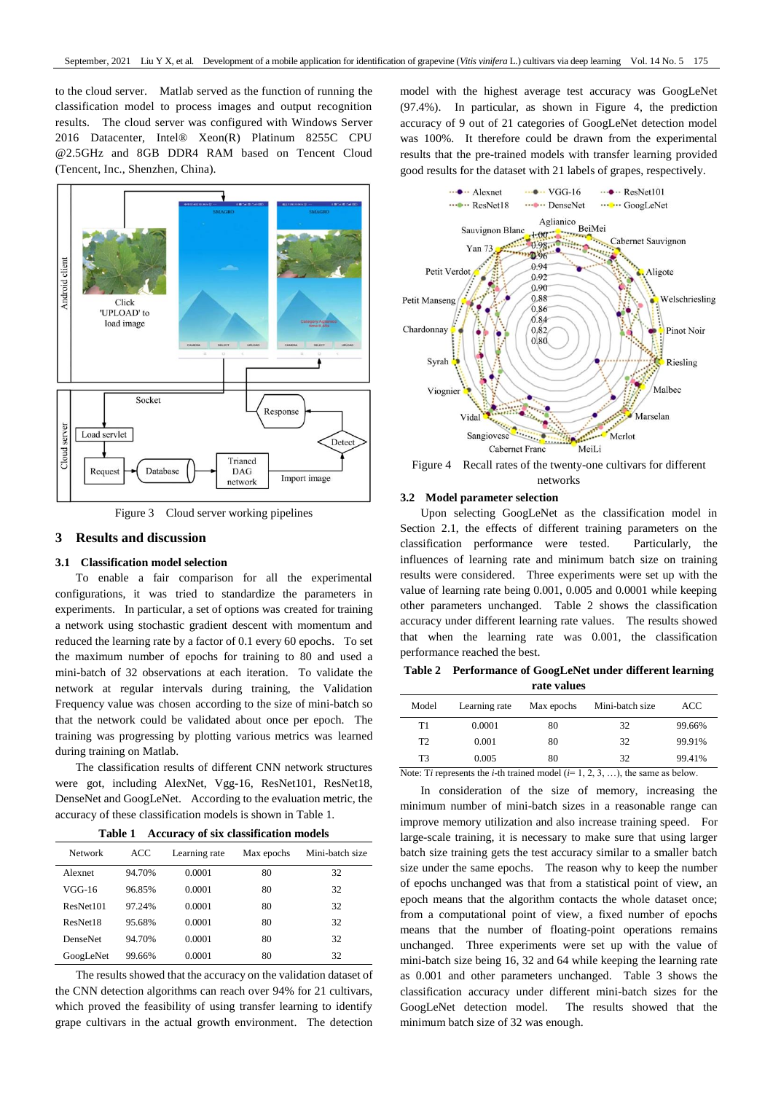to the cloud server. Matlab served as the function of running the classification model to process images and output recognition results. The cloud server was configured with Windows Server 2016 Datacenter, Intel® Xeon(R) Platinum 8255C CPU @2.5GHz and 8GB DDR4 RAM based on Tencent Cloud (Tencent, Inc., Shenzhen, China).



Figure 3 Cloud server working pipelines

## **3 Results and discussion**

# **3.1 Classification model selection**

To enable a fair comparison for all the experimental configurations, it was tried to standardize the parameters in experiments. In particular, a set of options was created for training a network using stochastic gradient descent with momentum and reduced the learning rate by a factor of 0.1 every 60 epochs. To set the maximum number of epochs for training to 80 and used a mini-batch of 32 observations at each iteration. To validate the network at regular intervals during training, the Validation Frequency value was chosen according to the size of mini-batch so that the network could be validated about once per epoch. The training was progressing by plotting various metrics was learned during training on Matlab.

The classification results of different CNN network structures were got, including AlexNet, Vgg-16, ResNet101, ResNet18, DenseNet and GoogLeNet. According to the evaluation metric, the accuracy of these classification models is shown in Table 1.

|  |  |  |  |  |  |  | Table 1 Accuracy of six classification models |  |
|--|--|--|--|--|--|--|-----------------------------------------------|--|
|--|--|--|--|--|--|--|-----------------------------------------------|--|

| <b>Network</b>  | ACC    | Learning rate | Max epochs | Mini-batch size |
|-----------------|--------|---------------|------------|-----------------|
| Alexnet         | 94.70% | 0.0001        | 80         | 32              |
| VGG-16          | 96.85% | 0.0001        | 80         | 32              |
| ResNet101       | 97.24% | 0.0001        | 80         | 32              |
| ResNet18        | 95.68% | 0.0001        | 80         | 32              |
| <b>DenseNet</b> | 94.70% | 0.0001        | 80         | 32              |
| GoogLeNet       | 99.66% | 0.0001        | 80         | 32              |

The results showed that the accuracy on the validation dataset of the CNN detection algorithms can reach over 94% for 21 cultivars, which proved the feasibility of using transfer learning to identify grape cultivars in the actual growth environment. The detection model with the highest average test accuracy was GoogLeNet (97.4%). In particular, as shown in Figure 4, the prediction accuracy of 9 out of 21 categories of GoogLeNet detection model was 100%. It therefore could be drawn from the experimental results that the pre-trained models with transfer learning provided good results for the dataset with 21 labels of grapes, respectively.



## **3.2 Model parameter selection**

Upon selecting GoogLeNet as the classification model in Section 2.1, the effects of different training parameters on the classification performance were tested. Particularly, the influences of learning rate and minimum batch size on training results were considered. Three experiments were set up with the value of learning rate being 0.001, 0.005 and 0.0001 while keeping other parameters unchanged. Table 2 shows the classification accuracy under different learning rate values. The results showed that when the learning rate was 0.001, the classification performance reached the best.

**Table 2 Performance of GoogLeNet under different learning rate values**

| $\cdots$ . and |                                                                            |                   |                 |        |  |  |
|----------------|----------------------------------------------------------------------------|-------------------|-----------------|--------|--|--|
| Model          | Learning rate                                                              | Max epochs        | Mini-batch size | ACC    |  |  |
| T1             | 0.0001                                                                     | 80                | 32              | 99.66% |  |  |
| T <sub>2</sub> | 0.001                                                                      | 80                | 32              | 99.91% |  |  |
| T3             | 0.005                                                                      | 80                | 32              | 99.41% |  |  |
|                | Note: $\Gamma$ ; represents the <i>i</i> th treated model $\ell = 1, 2, 3$ | the come or holem |                 |        |  |  |

Note: T*i* represents the *i*-th trained model ( $i=1, 2, 3, \ldots$ ), the same as below.

In consideration of the size of memory, increasing the minimum number of mini-batch sizes in a reasonable range can improve memory utilization and also increase training speed. For large-scale training, it is necessary to make sure that using larger batch size training gets the test accuracy similar to a smaller batch size under the same epochs. The reason why to keep the number of epochs unchanged was that from a statistical point of view, an epoch means that the algorithm contacts the whole dataset once; from a computational point of view, a fixed number of epochs means that the number of floating-point operations remains unchanged. Three experiments were set up with the value of mini-batch size being 16, 32 and 64 while keeping the learning rate as 0.001 and other parameters unchanged. Table 3 shows the classification accuracy under different mini-batch sizes for the GoogLeNet detection model. The results showed that the minimum batch size of 32 was enough.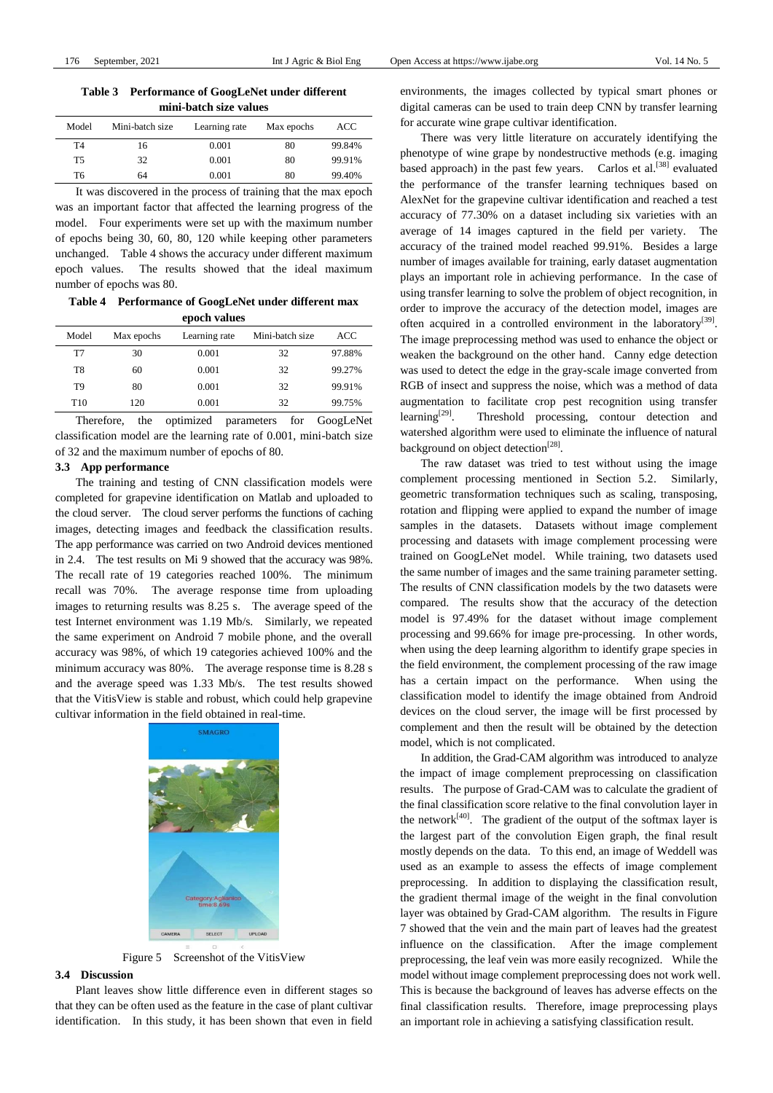**Table 3 Performance of GoogLeNet under different mini-batch size values**

| Model     | Mini-batch size | Learning rate | Max epochs | ACC    |
|-----------|-----------------|---------------|------------|--------|
| T4        | 16              | 0.001         | 80         | 99.84% |
| <b>T5</b> | 32              | 0.001         | 80         | 99.91% |
| T6        | 64              | 0.001         | 80         | 99.40% |

It was discovered in the process of training that the max epoch was an important factor that affected the learning progress of the model. Four experiments were set up with the maximum number of epochs being 30, 60, 80, 120 while keeping other parameters unchanged. Table 4 shows the accuracy under different maximum epoch values. The results showed that the ideal maximum number of epochs was 80.

**Table 4 Performance of GoogLeNet under different max epoch values**

| Model           | Max epochs | Learning rate | Mini-batch size | ACC    |  |
|-----------------|------------|---------------|-----------------|--------|--|
| T7              | 30         | 0.001         | 32              | 97.88% |  |
| T8              | 60         | 0.001         | 32              | 99.27% |  |
| T9              | 80         | 0.001         | 32              | 99.91% |  |
| T <sub>10</sub> | 120        | 0.001         | 32              | 99.75% |  |

Therefore, the optimized parameters for GoogLeNet classification model are the learning rate of 0.001, mini-batch size of 32 and the maximum number of epochs of 80.

## **3.3 App performance**

The training and testing of CNN classification models were completed for grapevine identification on Matlab and uploaded to the cloud server. The cloud server performs the functions of caching images, detecting images and feedback the classification results. The app performance was carried on two Android devices mentioned in 2.4. The test results on Mi 9 showed that the accuracy was 98%. The recall rate of 19 categories reached 100%. The minimum recall was 70%. The average response time from uploading images to returning results was 8.25 s. The average speed of the test Internet environment was 1.19 Mb/s. Similarly, we repeated the same experiment on Android 7 mobile phone, and the overall accuracy was 98%, of which 19 categories achieved 100% and the minimum accuracy was 80%. The average response time is 8.28 s and the average speed was 1.33 Mb/s. The test results showed that the VitisView is stable and robust, which could help grapevine cultivar information in the field obtained in real-time.





## **3.4 Discussion**

Plant leaves show little difference even in different stages so that they can be often used as the feature in the case of plant cultivar identification. In this study, it has been shown that even in field environments, the images collected by typical smart phones or digital cameras can be used to train deep CNN by transfer learning for accurate wine grape cultivar identification.

There was very little literature on accurately identifying the phenotype of wine grape by nondestructive methods (e.g. imaging based approach) in the past few years. Carlos et al.<sup>[38]</sup> evaluated the performance of the transfer learning techniques based on AlexNet for the grapevine cultivar identification and reached a test accuracy of 77.30% on a dataset including six varieties with an average of 14 images captured in the field per variety. The accuracy of the trained model reached 99.91%. Besides a large number of images available for training, early dataset augmentation plays an important role in achieving performance. In the case of using transfer learning to solve the problem of object recognition, in order to improve the accuracy of the detection model, images are often acquired in a controlled environment in the laboratory<sup>[39]</sup>. The image preprocessing method was used to enhance the object or weaken the background on the other hand. Canny edge detection was used to detect the edge in the gray-scale image converted from RGB of insect and suppress the noise, which was a method of data augmentation to facilitate crop pest recognition using transfer learning $^{[29]}$ . . Threshold processing, contour detection and watershed algorithm were used to eliminate the influence of natural background on object detection<sup>[28]</sup>.

The raw dataset was tried to test without using the image complement processing mentioned in Section 5.2. Similarly, geometric transformation techniques such as scaling, transposing, rotation and flipping were applied to expand the number of image samples in the datasets. Datasets without image complement processing and datasets with image complement processing were trained on GoogLeNet model. While training, two datasets used the same number of images and the same training parameter setting. The results of CNN classification models by the two datasets were compared. The results show that the accuracy of the detection model is 97.49% for the dataset without image complement processing and 99.66% for image pre-processing. In other words, when using the deep learning algorithm to identify grape species in the field environment, the complement processing of the raw image has a certain impact on the performance. When using the classification model to identify the image obtained from Android devices on the cloud server, the image will be first processed by complement and then the result will be obtained by the detection model, which is not complicated.

In addition, the Grad-CAM algorithm was introduced to analyze the impact of image complement preprocessing on classification results. The purpose of Grad-CAM was to calculate the gradient of the final classification score relative to the final convolution layer in the network<sup>[40]</sup>. The gradient of the output of the softmax layer is the largest part of the convolution Eigen graph, the final result mostly depends on the data. To this end, an image of Weddell was used as an example to assess the effects of image complement preprocessing. In addition to displaying the classification result, the gradient thermal image of the weight in the final convolution layer was obtained by Grad-CAM algorithm. The results in Figure 7 showed that the vein and the main part of leaves had the greatest influence on the classification. After the image complement preprocessing, the leaf vein was more easily recognized. While the model without image complement preprocessing does not work well. This is because the background of leaves has adverse effects on the final classification results. Therefore, image preprocessing plays an important role in achieving a satisfying classification result.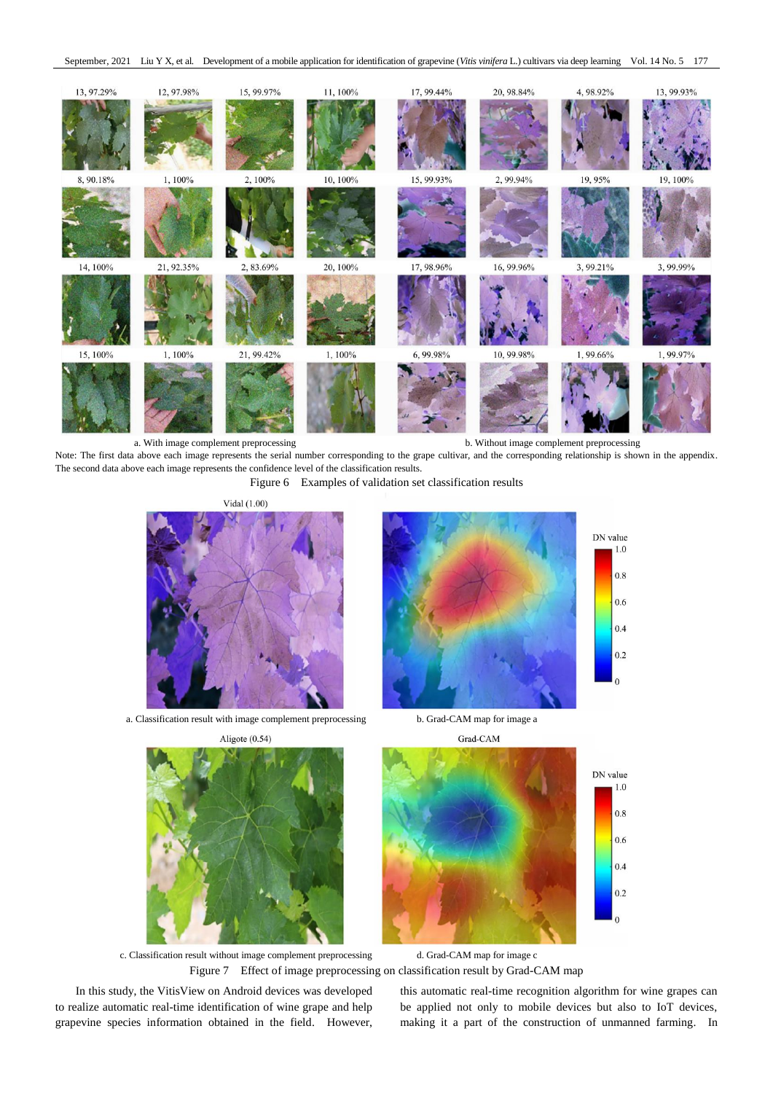

Note: The first data above each image represents the serial number corresponding to the grape cultivar, and the corresponding relationship is shown in the appendix. The second data above each image represents the confidence level of the classification results.

Figure 6 Examples of validation set classification results



a. Classification result with image complement preprocessing b. Grad-CAM map for image a



 $1.0$  $0.8$ 

 $0.6$ 

 $0.4$ 

 $0.2$ 

 $1.0$ 

 $0.8$  $0<sub>6</sub>$ 

 $0.4$ 

 $0.2$  $\theta$ 





c. Classification result without image complement preprocessing d. Grad-CAM map for image c Figure 7 Effect of image preprocessing on classification result by Grad-CAM map

In this study, the VitisView on Android devices was developed to realize automatic real-time identification of wine grape and help grapevine species information obtained in the field. However, this automatic real-time recognition algorithm for wine grapes can be applied not only to mobile devices but also to IoT devices, making it a part of the construction of unmanned farming. In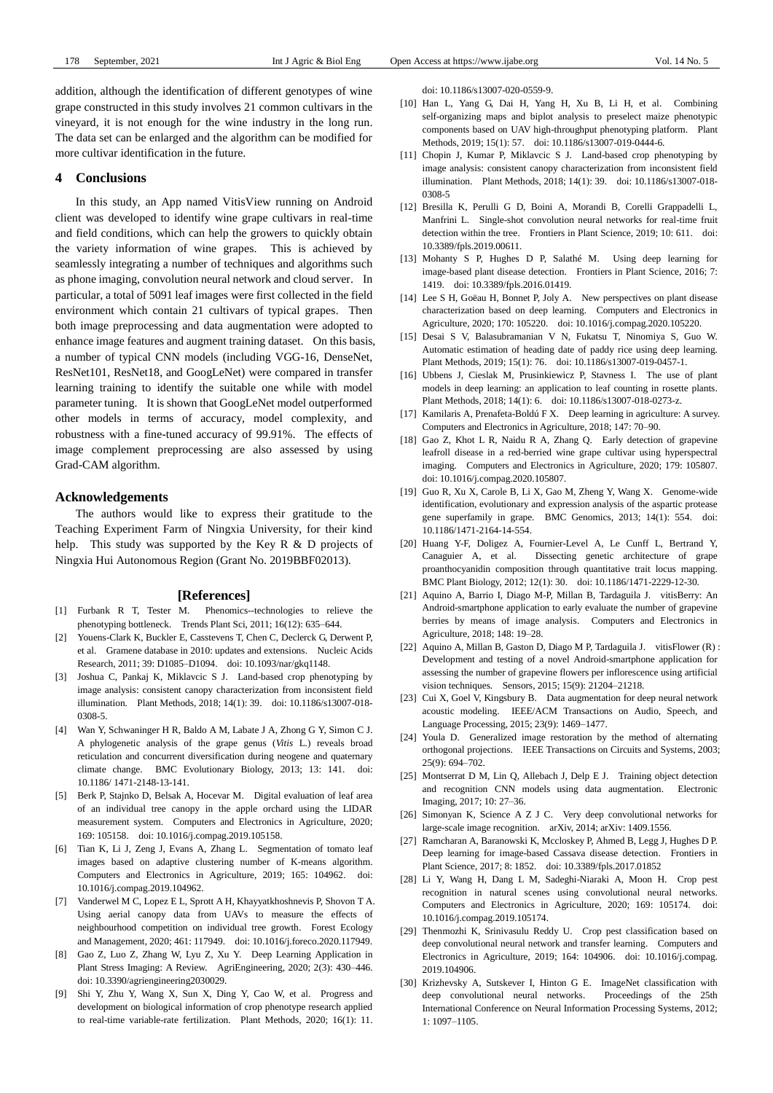addition, although the identification of different genotypes of wine grape constructed in this study involves 21 common cultivars in the vineyard, it is not enough for the wine industry in the long run. The data set can be enlarged and the algorithm can be modified for more cultivar identification in the future.

## **4 Conclusions**

In this study, an App named VitisView running on Android client was developed to identify wine grape cultivars in real-time and field conditions, which can help the growers to quickly obtain the variety information of wine grapes. This is achieved by seamlessly integrating a number of techniques and algorithms such as phone imaging, convolution neural network and cloud server. In particular, a total of 5091 leaf images were first collected in the field environment which contain 21 cultivars of typical grapes. Then both image preprocessing and data augmentation were adopted to enhance image features and augment training dataset. On this basis, a number of typical CNN models (including VGG-16, DenseNet, ResNet101, ResNet18, and GoogLeNet) were compared in transfer learning training to identify the suitable one while with model parameter tuning. It is shown that GoogLeNet model outperformed other models in terms of accuracy, model complexity, and robustness with a fine-tuned accuracy of 99.91%. The effects of image complement preprocessing are also assessed by using Grad-CAM algorithm.

## **Acknowledgements**

The authors would like to express their gratitude to the Teaching Experiment Farm of Ningxia University, for their kind help. This study was supported by the Key R & D projects of Ningxia Hui Autonomous Region (Grant No. 2019BBF02013).

#### **[References]**

- [1] Furbank R T, Tester M. Phenomics--technologies to relieve the phenotyping bottleneck. Trends Plant Sci, 2011; 16(12): 635–644.
- Youens-Clark K, Buckler E, Casstevens T, Chen C, Declerck G, Derwent P, et al. Gramene database in 2010: updates and extensions. Nucleic Acids Research, 2011; 39: D1085–D1094. doi: 10.1093/nar/gkq1148.
- [3] Joshua C, Pankaj K, Miklavcic S J. Land-based crop phenotyping by image analysis: consistent canopy characterization from inconsistent field illumination. Plant Methods, 2018; 14(1): 39. doi: 10.1186/s13007-018- 0308-5.
- [4] Wan Y, Schwaninger H R, Baldo A M, Labate J A, Zhong G Y, Simon C J. A phylogenetic analysis of the grape genus (*Vitis* L.) reveals broad reticulation and concurrent diversification during neogene and quaternary climate change. BMC Evolutionary Biology, 2013; 13: 141. doi: 10.1186/ 1471-2148-13-141.
- [5] Berk P, Stajnko D, Belsak A, Hocevar M. Digital evaluation of leaf area of an individual tree canopy in the apple orchard using the LIDAR measurement system. Computers and Electronics in Agriculture, 2020; 169: 105158. doi: 10.1016/j.compag.2019.105158.
- [6] Tian K, Li J, Zeng J, Evans A, Zhang L. Segmentation of tomato leaf images based on adaptive clustering number of K-means algorithm. Computers and Electronics in Agriculture, 2019; 165: 104962. doi: 10.1016/j.compag.2019.104962.
- [7] Vanderwel M C, Lopez E L, Sprott A H, Khayyatkhoshnevis P, Shovon T A. Using aerial canopy data from UAVs to measure the effects of neighbourhood competition on individual tree growth. Forest Ecology and Management, 2020; 461: 117949. doi: 10.1016/j.foreco.2020.117949.
- [8] Gao Z, Luo Z, Zhang W, Lyu Z, Xu Y. Deep Learning Application in Plant Stress Imaging: A Review. AgriEngineering, 2020; 2(3): 430–446. doi: 10.3390/agriengineering2030029.
- [9] Shi Y, Zhu Y, Wang X, Sun X, Ding Y, Cao W, et al. Progress and development on biological information of crop phenotype research applied to real-time variable-rate fertilization. Plant Methods, 2020; 16(1): 11.

doi: 10.1186/s13007-020-0559-9.

- [10] Han L, Yang G, Dai H, Yang H, Xu B, Li H, et al. Combining self-organizing maps and biplot analysis to preselect maize phenotypic components based on UAV high-throughput phenotyping platform. Plant Methods, 2019; 15(1): 57. doi: 10.1186/s13007-019-0444-6.
- [11] Chopin J, Kumar P, Miklavcic S J. Land-based crop phenotyping by image analysis: consistent canopy characterization from inconsistent field illumination. Plant Methods, 2018; 14(1): 39. doi: 10.1186/s13007-018- 0308-5
- [12] Bresilla K, Perulli G D, Boini A, Morandi B, Corelli Grappadelli L, Manfrini L. Single-shot convolution neural networks for real-time fruit detection within the tree. Frontiers in Plant Science, 2019; 10: 611. doi: 10.3389/fpls.2019.00611.
- [13] Mohanty S P, Hughes D P, Salathé M. Using deep learning for image-based plant disease detection. Frontiers in Plant Science, 2016; 7: 1419. doi: 10.3389/fpls.2016.01419.
- [14] Lee S H, Go ëau H, Bonnet P, Joly A. New perspectives on plant disease characterization based on deep learning. Computers and Electronics in Agriculture, 2020; 170: 105220. doi: 10.1016/j.compag.2020.105220.
- [15] Desai S V, Balasubramanian V N, Fukatsu T, Ninomiya S, Guo W. Automatic estimation of heading date of paddy rice using deep learning. Plant Methods, 2019; 15(1): 76. doi: 10.1186/s13007-019-0457-1.
- [16] Ubbens J, Cieslak M, Prusinkiewicz P, Stavness I. The use of plant models in deep learning: an application to leaf counting in rosette plants. Plant Methods, 2018; 14(1): 6. doi: 10.1186/s13007-018-0273-z.
- [17] Kamilaris A, Prenafeta-Boldú F X. Deep learning in agriculture: A survey. Computers and Electronics in Agriculture, 2018; 147: 70–90.
- [18] Gao Z, Khot L R, Naidu R A, Zhang Q. Early detection of grapevine leafroll disease in a red-berried wine grape cultivar using hyperspectral imaging. Computers and Electronics in Agriculture, 2020; 179: 105807. doi: 10.1016/j.compag.2020.105807.
- [19] Guo R, Xu X, Carole B, Li X, Gao M, Zheng Y, Wang X. Genome-wide identification, evolutionary and expression analysis of the aspartic protease gene superfamily in grape. BMC Genomics, 2013; 14(1): 554. doi: 10.1186/1471-2164-14-554.
- [20] Huang Y-F, Doligez A, Fournier-Level A, Le Cunff L, Bertrand Y, Canaguier A, et al. Dissecting genetic architecture of grape proanthocyanidin composition through quantitative trait locus mapping. BMC Plant Biology, 2012; 12(1): 30. doi: 10.1186/1471-2229-12-30.
- [21] Aquino A, Barrio I, Diago M-P, Millan B, Tardaguila J. vitisBerry: An Android-smartphone application to early evaluate the number of grapevine berries by means of image analysis. Computers and Electronics in Agriculture, 2018; 148: 19–28.
- [22] Aquino A, Millan B, Gaston D, Diago M P, Tardaguila J. vitisFlower (R) : Development and testing of a novel Android-smartphone application for assessing the number of grapevine flowers per inflorescence using artificial vision techniques. Sensors, 2015; 15(9): 21204–21218.
- [23] Cui X, Goel V, Kingsbury B. Data augmentation for deep neural network acoustic modeling. IEEE/ACM Transactions on Audio, Speech, and Language Processing, 2015; 23(9): 1469–1477.
- [24] Youla D. Generalized image restoration by the method of alternating orthogonal projections. IEEE Transactions on Circuits and Systems, 2003;  $25(9)$ : 694–702.
- [25] Montserrat D M, Lin Q, Allebach J, Delp E J. Training object detection and recognition CNN models using data augmentation. Electronic Imaging, 2017; 10: 27–36.
- [26] Simonyan K, Science A Z J C. Very deep convolutional networks for large-scale image recognition. arXiv, 2014; arXiv: 1409.1556.
- [27] Ramcharan A, Baranowski K, Mccloskey P, Ahmed B, Legg J, Hughes D P. Deep learning for image-based Cassava disease detection. Frontiers in Plant Science, 2017; 8: 1852. doi: 10.3389/fpls.2017.01852
- [28] Li Y, Wang H, Dang L M, Sadeghi-Niaraki A, Moon H. Crop pest recognition in natural scenes using convolutional neural networks. Computers and Electronics in Agriculture, 2020; 169: 105174. doi: 10.1016/j.compag.2019.105174.
- [29] Thenmozhi K, Srinivasulu Reddy U. Crop pest classification based on deep convolutional neural network and transfer learning. Computers and Electronics in Agriculture, 2019; 164: 104906. doi: 10.1016/j.compag. 2019.104906.
- [30] Krizhevsky A, Sutskever I, Hinton G E. ImageNet classification with deep convolutional neural networks. Proceedings of the 25th International Conference on Neural Information Processing Systems, 2012; 1: 1097–1105.